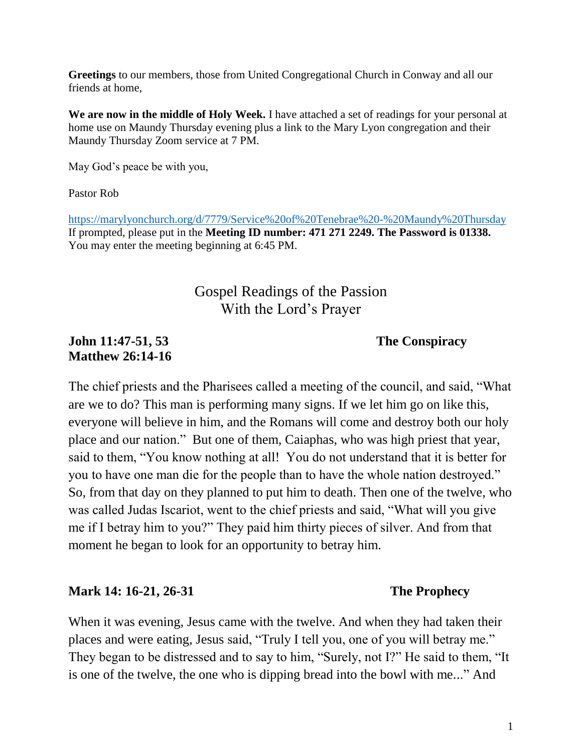**Greetings** to our members, those from United Congregational Church in Conway and all our friends at home,

**We are now in the middle of Holy Week.** I have attached a set of readings for your personal at home use on Maundy Thursday evening plus a link to the Mary Lyon congregation and their Maundy Thursday Zoom service at 7 PM.

May God's peace be with you,

Pastor Rob

<https://marylyonchurch.org/d/7779/Service%20of%20Tenebrae%20-%20Maundy%20Thursday> If prompted, please put in the **Meeting ID number: 471 271 2249. The Password is 01338.** You may enter the meeting beginning at 6:45 PM.

# Gospel Readings of the Passion With the Lord's Prayer

### **John 11:47-51, 53 The Conspiracy Matthew 26:14-16**

The chief priests and the Pharisees called a meeting of the council, and said, "What are we to do? This man is performing many signs. If we let him go on like this, everyone will believe in him, and the Romans will come and destroy both our holy place and our nation." But one of them, Caiaphas, who was high priest that year, said to them, "You know nothing at all! You do not understand that it is better for you to have one man die for the people than to have the whole nation destroyed." So, from that day on they planned to put him to death. Then one of the twelve, who was called Judas Iscariot, went to the chief priests and said, "What will you give me if I betray him to you?" They paid him thirty pieces of silver. And from that moment he began to look for an opportunity to betray him.

### **Mark 14: 16-21, 26-31 The Prophecy**

When it was evening, Jesus came with the twelve. And when they had taken their places and were eating, Jesus said, "Truly I tell you, one of you will betray me." They began to be distressed and to say to him, "Surely, not I?" He said to them, "It is one of the twelve, the one who is dipping bread into the bowl with me..." And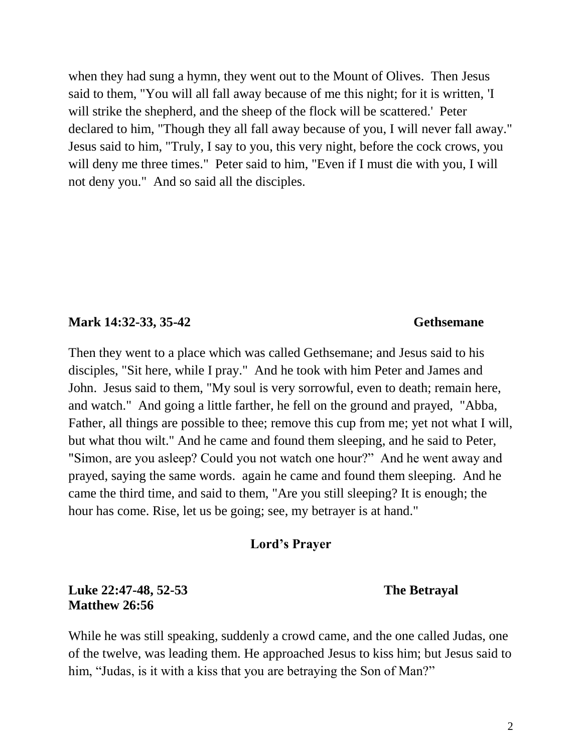when they had sung a hymn, they went out to the Mount of Olives. Then Jesus said to them, "You will all fall away because of me this night; for it is written, 'I will strike the shepherd, and the sheep of the flock will be scattered.' Peter declared to him, "Though they all fall away because of you, I will never fall away." Jesus said to him, "Truly, I say to you, this very night, before the cock crows, you will deny me three times." Peter said to him, "Even if I must die with you, I will not deny you." And so said all the disciples.

### **Mark 14:32-33, 35-42** Gethsemane

Then they went to a place which was called Gethsemane; and Jesus said to his disciples, "Sit here, while I pray." And he took with him Peter and James and John. Jesus said to them, "My soul is very sorrowful, even to death; remain here, and watch." And going a little farther, he fell on the ground and prayed, "Abba, Father, all things are possible to thee; remove this cup from me; yet not what I will, but what thou wilt." And he came and found them sleeping, and he said to Peter, "Simon, are you asleep? Could you not watch one hour?" And he went away and prayed, saying the same words. again he came and found them sleeping. And he came the third time, and said to them, "Are you still sleeping? It is enough; the hour has come. Rise, let us be going; see, my betrayer is at hand."

### **Lord's Prayer**

# **Luke 22:47-48, 52-53 The Betrayal Matthew 26:56**

While he was still speaking, suddenly a crowd came, and the one called Judas, one of the twelve, was leading them. He approached Jesus to kiss him; but Jesus said to him, "Judas, is it with a kiss that you are betraying the Son of Man?"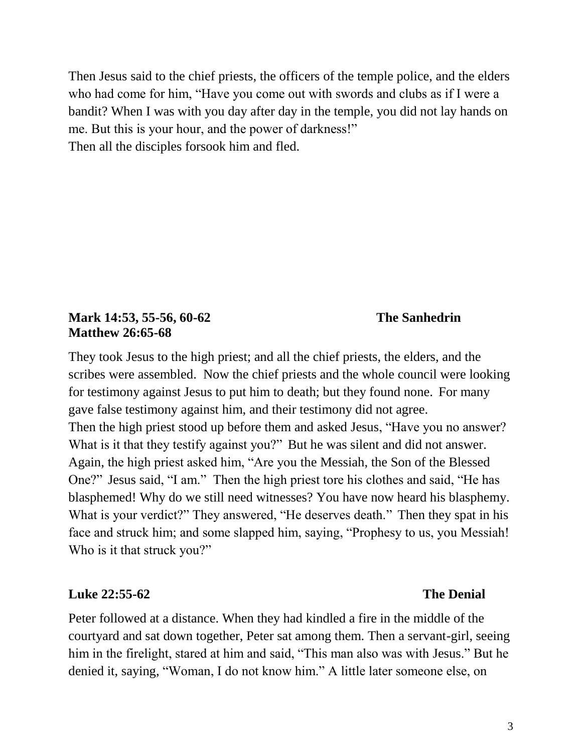Then Jesus said to the chief priests, the officers of the temple police, and the elders who had come for him, "Have you come out with swords and clubs as if I were a bandit? When I was with you day after day in the temple, you did not lay hands on me. But this is your hour, and the power of darkness!" Then all the disciples forsook him and fled.

**Mark 14:53, 55-56, 60-62 The Sanhedrin Matthew 26:65-68**

They took Jesus to the high priest; and all the chief priests, the elders, and the scribes were assembled. Now the chief priests and the whole council were looking for testimony against Jesus to put him to death; but they found none. For many gave false testimony against him, and their testimony did not agree. Then the high priest stood up before them and asked Jesus, "Have you no answer? What is it that they testify against you?" But he was silent and did not answer. Again, the high priest asked him, "Are you the Messiah, the Son of the Blessed One?" Jesus said, "I am." Then the high priest tore his clothes and said, "He has blasphemed! Why do we still need witnesses? You have now heard his blasphemy. What is your verdict?" They answered, "He deserves death." Then they spat in his face and struck him; and some slapped him, saying, "Prophesy to us, you Messiah! Who is it that struck you?"

# **Luke 22:55-62 The Denial**

Peter followed at a distance. When they had kindled a fire in the middle of the courtyard and sat down together, Peter sat among them. Then a servant-girl, seeing him in the firelight, stared at him and said, "This man also was with Jesus." But he denied it, saying, "Woman, I do not know him." A little later someone else, on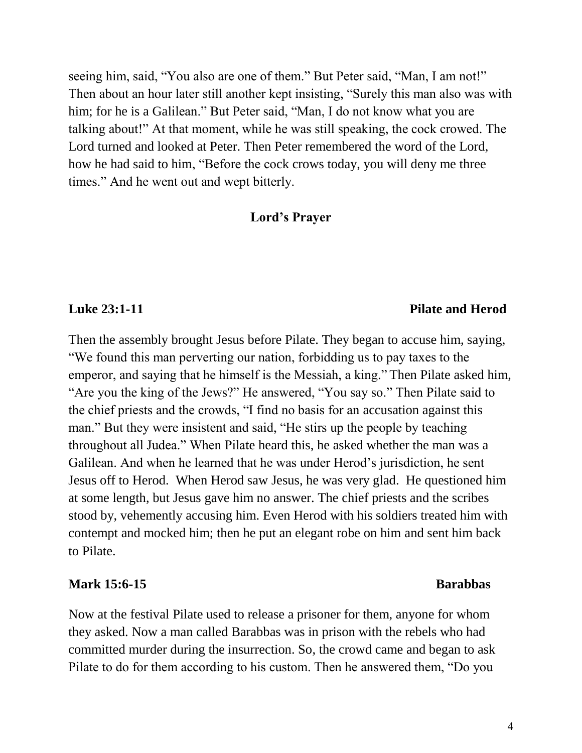seeing him, said, "You also are one of them." But Peter said, "Man, I am not!" Then about an hour later still another kept insisting, "Surely this man also was with him; for he is a Galilean." But Peter said, "Man, I do not know what you are talking about!" At that moment, while he was still speaking, the cock crowed. The Lord turned and looked at Peter. Then Peter remembered the word of the Lord, how he had said to him, "Before the cock crows today, you will deny me three times." And he went out and wept bitterly.

### **Lord's Prayer**

### **Luke 23:1-11 Pilate and Herod**

Then the assembly brought Jesus before Pilate. They began to accuse him, saying, "We found this man perverting our nation, forbidding us to pay taxes to the emperor, and saying that he himself is the Messiah, a king." Then Pilate asked him, "Are you the king of the Jews?" He answered, "You say so." Then Pilate said to the chief priests and the crowds, "I find no basis for an accusation against this man." But they were insistent and said, "He stirs up the people by teaching throughout all Judea." When Pilate heard this, he asked whether the man was a Galilean. And when he learned that he was under Herod's jurisdiction, he sent Jesus off to Herod. When Herod saw Jesus, he was very glad. He questioned him at some length, but Jesus gave him no answer. The chief priests and the scribes stood by, vehemently accusing him. Even Herod with his soldiers treated him with contempt and mocked him; then he put an elegant robe on him and sent him back to Pilate.

### Mark 15:6-15 **Barabbas**

Now at the festival Pilate used to release a prisoner for them, anyone for whom they asked. Now a man called Barabbas was in prison with the rebels who had committed murder during the insurrection. So, the crowd came and began to ask Pilate to do for them according to his custom. Then he answered them, "Do you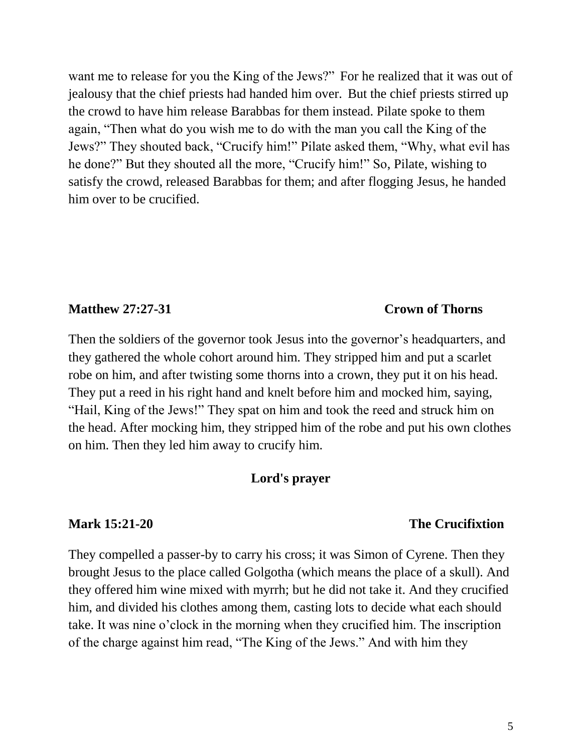want me to release for you the King of the Jews?" For he realized that it was out of jealousy that the chief priests had handed him over. But the chief priests stirred up the crowd to have him release Barabbas for them instead. Pilate spoke to them again, "Then what do you wish me to do with the man you call the King of the Jews?" They shouted back, "Crucify him!" Pilate asked them, "Why, what evil has he done?" But they shouted all the more, "Crucify him!" So, Pilate, wishing to satisfy the crowd, released Barabbas for them; and after flogging Jesus, he handed him over to be crucified.

### **Matthew 27:27-31 Crown of Thorns**

Then the soldiers of the governor took Jesus into the governor's headquarters, and they gathered the whole cohort around him. They stripped him and put a scarlet robe on him, and after twisting some thorns into a crown, they put it on his head. They put a reed in his right hand and knelt before him and mocked him, saying, "Hail, King of the Jews!" They spat on him and took the reed and struck him on the head. After mocking him, they stripped him of the robe and put his own clothes on him. Then they led him away to crucify him.

### **Lord's prayer**

### **Mark 15:21-20 The Crucifixtion**

They compelled a passer-by to carry his cross; it was Simon of Cyrene. Then they brought Jesus to the place called Golgotha (which means the place of a skull). And they offered him wine mixed with myrrh; but he did not take it. And they crucified him, and divided his clothes among them, casting lots to decide what each should take. It was nine o'clock in the morning when they crucified him. The inscription of the charge against him read, "The King of the Jews." And with him they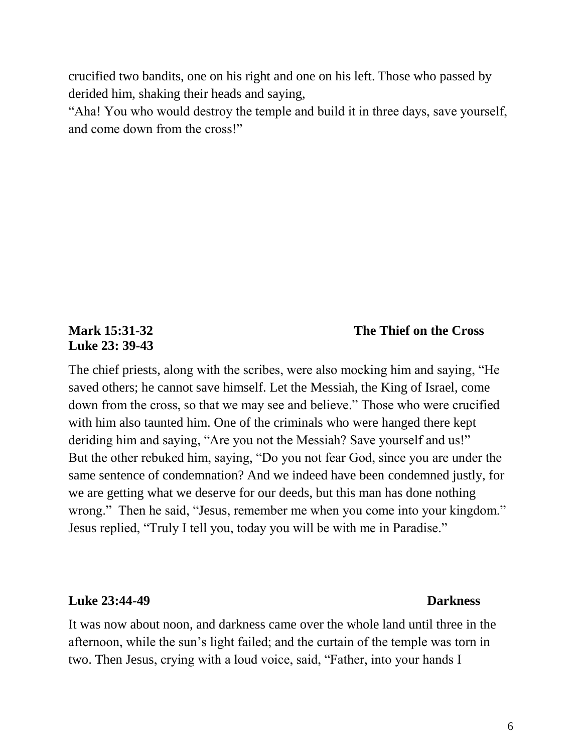crucified two bandits, one on his right and one on his left. Those who passed by derided him, shaking their heads and saying,

"Aha! You who would destroy the temple and build it in three days, save yourself, and come down from the cross!"

# **Luke 23: 39-43**

## **Mark 15:31-32 The Thief on the Cross**

The chief priests, along with the scribes, were also mocking him and saying, "He saved others; he cannot save himself. Let the Messiah, the King of Israel, come down from the cross, so that we may see and believe." Those who were crucified with him also taunted him. One of the criminals who were hanged there kept deriding him and saying, "Are you not the Messiah? Save yourself and us!" But the other rebuked him, saying, "Do you not fear God, since you are under the same sentence of condemnation? And we indeed have been condemned justly, for we are getting what we deserve for our deeds, but this man has done nothing wrong." Then he said, "Jesus, remember me when you come into your kingdom." Jesus replied, "Truly I tell you, today you will be with me in Paradise."

### **Luke 23:44-49 Darkness**

# It was now about noon, and darkness came over the whole land until three in the afternoon, while the sun's light failed; and the curtain of the temple was torn in two. Then Jesus, crying with a loud voice, said, "Father, into your hands I